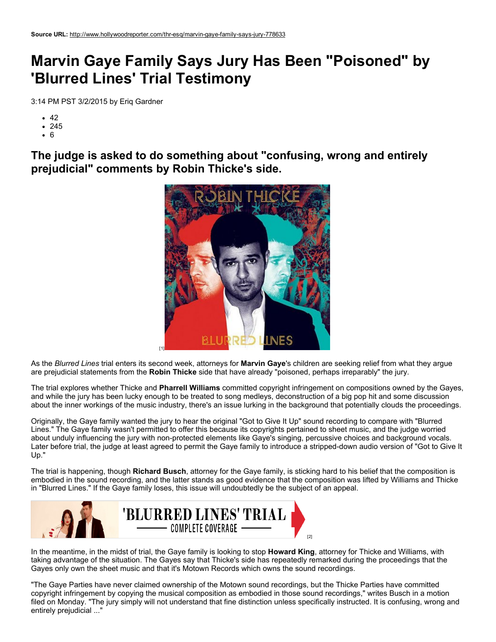## Marvin Gaye Family Says Jury Has Been "Poisoned" by 'Blurred Lines' Trial Testimony

3:14 PM PST 3/2/2015 by Eriq Gardner

- $42$
- 245
- 6

The judge is asked to do something about "confusing, wrong and entirely prejudicial" comments by Robin Thicke's side.



As the *Blurred Lines* trial enters its second week, attorneys for Marvin Gaye's children are seeking relief from what they argue are prejudicial statements from the Robin Thicke side that have already "poisoned, perhaps irreparably" the jury.

The trial explores whether Thicke and Pharrell Williams committed copyright infringement on compositions owned by the Gayes, and while the jury has been lucky enough to be treated to song medleys, deconstruction of a big pop hit and some discussion about the inner workings of the music industry, there's an issue lurking in the background that potentially clouds the proceedings.

Originally, the Gaye family wanted the jury to hear the original "Got to Give It Up" sound recording to compare with "Blurred Lines." The Gaye family wasn't permitted to offer this because its copyrights pertained to sheet music, and the judge worried about unduly influencing the jury with non-protected elements like Gaye's singing, percussive choices and background vocals. Later before trial, the judge at least agreed to permit the Gaye family to introduce a stripped-down audio version of "Got to Give It" Up."

The trial is happening, though Richard Busch, attorney for the Gaye family, is sticking hard to his belief that the composition is embodied in the sound recording, and the latter stands as good evidence that the composition was lifted by Williams and Thicke in "Blurred Lines." If the Gaye family loses, this issue will undoubtedly be the subject of an appeal.



In the meantime, in the midst of trial, the Gaye family is looking to stop Howard King, attorney for Thicke and Williams, with taking advantage of the situation. The Gayes say that Thicke's side has repeatedly remarked during the proceedings that the Gayes only own the sheet music and that it's Motown Records which owns the sound recordings.

"The Gaye Parties have never claimed ownership of the Motown sound recordings, but the Thicke Parties have committed copyright infringement by copying the musical composition as embodied in those sound recordings," writes Busch in a motion filed on Monday. "The jury simply will not understand that fine distinction unless specifically instructed. It is confusing, wrong and entirely prejudicial ..."